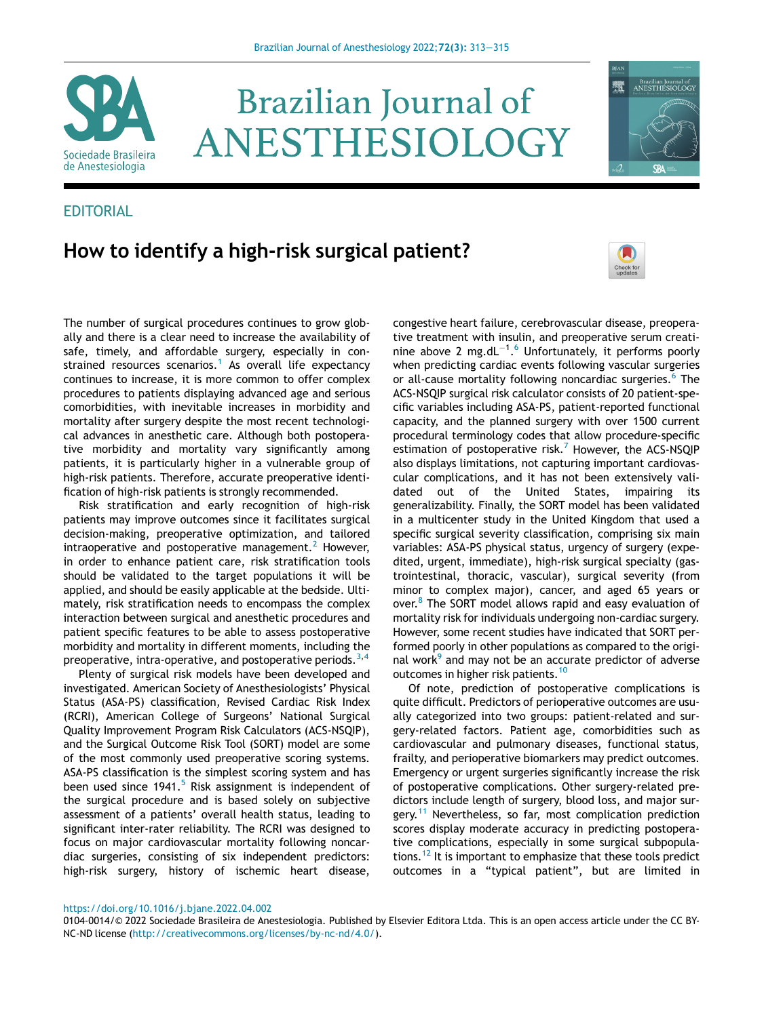

# **Brazilian Journal of** ANESTHESIOLOGY

# **EDITORIAL**

# How to identify a high-risk surgical patient?



Brazilian Journal of<br>ANESTHESIOLOG

魙

The number of surgical procedures continues to grow globally and there is a clear need to increase the availability of safe, timely, and affordable surgery, especially in con-strained resources scenarios.<sup>[1](#page-2-0)</sup> As overall life expectancy continues to increase, it is more common to offer complex procedures to patients displaying advanced age and serious comorbidities, with inevitable increases in morbidity and mortality after surgery despite the most recent technological advances in anesthetic care. Although both postoperative morbidity and mortality vary significantly among patients, it is particularly higher in a vulnerable group of high-risk patients. Therefore, accurate preoperative identification of high-risk patients is strongly recommended.

Risk stratification and early recognition of high-risk patients may improve outcomes since it facilitates surgical decision-making, preoperative optimization, and tailored intraoperative and postoperative management.<sup>[2](#page-2-1)</sup> However, in order to enhance patient care, risk stratification tools should be validated to the target populations it will be applied, and should be easily applicable at the bedside. Ultimately, risk stratification needs to encompass the complex interaction between surgical and anesthetic procedures and patient specific features to be able to assess postoperative morbidity and mortality in different moments, including the preoperative, intra-operative, and postoperative periods.<sup>[3](#page-2-2),[4](#page-2-3)</sup>

Plenty of surgical risk models have been developed and investigated. American Society of Anesthesiologists' Physical Status (ASA-PS) classification, Revised Cardiac Risk Index (RCRI), American College of Surgeons' National Surgical Quality Improvement Program Risk Calculators (ACS-NSQIP), and the Surgical Outcome Risk Tool (SORT) model are some of the most commonly used preoperative scoring systems. ASA-PS classification is the simplest scoring system and has been used since  $1941.^5$  $1941.^5$  Risk assignment is independent of the surgical procedure and is based solely on subjective assessment of a patients' overall health status, leading to significant inter-rater reliability. The RCRI was designed to focus on major cardiovascular mortality following noncardiac surgeries, consisting of six independent predictors: high-risk surgery, history of ischemic heart disease,

congestive heart failure, cerebrovascular disease, preoperative treatment with insulin, and preoperative serum creatinine above 2 mg.dL $^{-1.6}$  $^{-1.6}$  $^{-1.6}$  Unfortunately, it performs poorly when predicting cardiac events following vascular surgeries or all-cause mortality following noncardiac surgeries.<sup>[6](#page-2-5)</sup> The ACS-NSQIP surgical risk calculator consists of 20 patient-specific variables including ASA-PS, patient-reported functional capacity, and the planned surgery with over 1500 current procedural terminology codes that allow procedure-specific estimation of postoperative risk.<sup>[7](#page-2-6)</sup> However, the ACS-NSQIP also displays limitations, not capturing important cardiovascular complications, and it has not been extensively validated out of the United States, impairing its generalizability. Finally, the SORT model has been validated in a multicenter study in the United Kingdom that used a specific surgical severity classification, comprising six main variables: ASA-PS physical status, urgency of surgery (expedited, urgent, immediate), high-risk surgical specialty (gastrointestinal, thoracic, vascular), surgical severity (from minor to complex major), cancer, and aged 65 years or over.<sup>[8](#page-2-7)</sup> The SORT model allows rapid and easy evaluation of mortality risk for individuals undergoing non-cardiac surgery. However, some recent studies have indicated that SORT performed poorly in other populations as compared to the origi-nal work<sup>[9](#page-2-8)</sup> and may not be an accurate predictor of adverse outcomes in higher risk patients.<sup>[10](#page-2-9)</sup>

Of note, prediction of postoperative complications is quite difficult. Predictors of perioperative outcomes are usually categorized into two groups: patient-related and surgery-related factors. Patient age, comorbidities such as cardiovascular and pulmonary diseases, functional status, frailty, and perioperative biomarkers may predict outcomes. Emergency or urgent surgeries significantly increase the risk of postoperative complications. Other surgery-related predictors include length of surgery, blood loss, and major sur-gery.<sup>[11](#page-2-10)</sup> Nevertheless, so far, most complication prediction scores display moderate accuracy in predicting postoperative complications, especially in some surgical subpopula-tions.<sup>[12](#page-2-11)</sup> It is important to emphasize that these tools predict outcomes in a "typical patient", but are limited in

#### <https://doi.org/10.1016/j.bjane.2022.04.002>

<sup>0104-0014/© 2022</sup> Sociedade Brasileira de Anestesiologia. Published by Elsevier Editora Ltda. This is an open access article under the CC BY-NC-ND license [\(http://creativecommons.org/licenses/by-nc-nd/4.0/](http://creativecommons.org/licenses/by-nc-nd/4.0/)).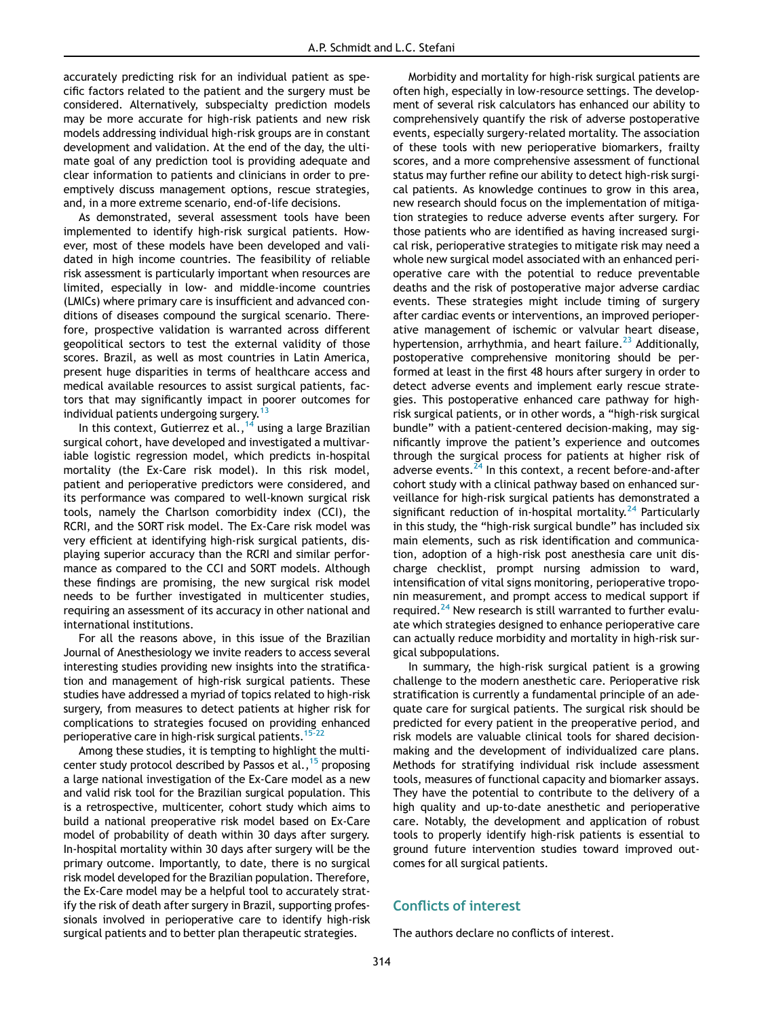accurately predicting risk for an individual patient as specific factors related to the patient and the surgery must be considered. Alternatively, subspecialty prediction models may be more accurate for high-risk patients and new risk models addressing individual high-risk groups are in constant development and validation. At the end of the day, the ultimate goal of any prediction tool is providing adequate and clear information to patients and clinicians in order to preemptively discuss management options, rescue strategies, and, in a more extreme scenario, end-of-life decisions.

As demonstrated, several assessment tools have been implemented to identify high-risk surgical patients. However, most of these models have been developed and validated in high income countries. The feasibility of reliable risk assessment is particularly important when resources are limited, especially in low- and middle-income countries (LMICs) where primary care is insufficient and advanced conditions of diseases compound the surgical scenario. Therefore, prospective validation is warranted across different geopolitical sectors to test the external validity of those scores. Brazil, as well as most countries in Latin America, present huge disparities in terms of healthcare access and medical available resources to assist surgical patients, factors that may significantly impact in poorer outcomes for individual patients undergoing surgery.<sup>1</sup>

In this context, Gutierrez et al.,  $^{14}$  $^{14}$  $^{14}$  using a large Brazilian surgical cohort, have developed and investigated a multivariable logistic regression model, which predicts in-hospital mortality (the Ex-Care risk model). In this risk model, patient and perioperative predictors were considered, and its performance was compared to well-known surgical risk tools, namely the Charlson comorbidity index (CCI), the RCRI, and the SORT risk model. The Ex-Care risk model was very efficient at identifying high-risk surgical patients, displaying superior accuracy than the RCRI and similar performance as compared to the CCI and SORT models. Although these findings are promising, the new surgical risk model needs to be further investigated in multicenter studies, requiring an assessment of its accuracy in other national and international institutions.

For all the reasons above, in this issue of the Brazilian Journal of Anesthesiology we invite readers to access several interesting studies providing new insights into the stratification and management of high-risk surgical patients. These studies have addressed a myriad of topics related to high-risk surgery, from measures to detect patients at higher risk for complications to strategies focused on providing enhanced perioperative care in high-risk surgical patients.<sup>15-22</sup>

Among these studies, it is tempting to highlight the multicenter study protocol described by Passos et al.,  $15$  proposing a large national investigation of the Ex-Care model as a new and valid risk tool for the Brazilian surgical population. This is a retrospective, multicenter, cohort study which aims to build a national preoperative risk model based on Ex-Care model of probability of death within 30 days after surgery. In-hospital mortality within 30 days after surgery will be the primary outcome. Importantly, to date, there is no surgical risk model developed for the Brazilian population. Therefore, the Ex-Care model may be a helpful tool to accurately stratify the risk of death after surgery in Brazil, supporting professionals involved in perioperative care to identify high-risk surgical patients and to better plan therapeutic strategies.

Morbidity and mortality for high-risk surgical patients are often high, especially in low-resource settings. The development of several risk calculators has enhanced our ability to comprehensively quantify the risk of adverse postoperative events, especially surgery-related mortality. The association of these tools with new perioperative biomarkers, frailty scores, and a more comprehensive assessment of functional status may further refine our ability to detect high-risk surgical patients. As knowledge continues to grow in this area, new research should focus on the implementation of mitigation strategies to reduce adverse events after surgery. For those patients who are identified as having increased surgical risk, perioperative strategies to mitigate risk may need a whole new surgical model associated with an enhanced perioperative care with the potential to reduce preventable deaths and the risk of postoperative major adverse cardiac events. These strategies might include timing of surgery after cardiac events or interventions, an improved perioperative management of ischemic or valvular heart disease, hypertension, arrhythmia, and heart failure.<sup>[23](#page-2-15)</sup> Additionally, postoperative comprehensive monitoring should be performed at least in the first 48 hours after surgery in order to detect adverse events and implement early rescue strategies. This postoperative enhanced care pathway for highrisk surgical patients, or in other words, a "high-risk surgical bundle" with a patient-centered decision-making, may significantly improve the patient's experience and outcomes through the surgical process for patients at higher risk of adverse events. $^{24}$  $^{24}$  $^{24}$  In this context, a recent before-and-after cohort study with a clinical pathway based on enhanced surveillance for high-risk surgical patients has demonstrated a significant reduction of in-hospital mortality. $^{24}$  $^{24}$  $^{24}$  Particularly in this study, the "high-risk surgical bundle" has included six main elements, such as risk identification and communication, adoption of a high-risk post anesthesia care unit discharge checklist, prompt nursing admission to ward, intensification of vital signs monitoring, perioperative troponin measurement, and prompt access to medical support if required.<sup>[24](#page-2-16)</sup> New research is still warranted to further evaluate which strategies designed to enhance perioperative care can actually reduce morbidity and mortality in high-risk surgical subpopulations.

In summary, the high-risk surgical patient is a growing challenge to the modern anesthetic care. Perioperative risk stratification is currently a fundamental principle of an adequate care for surgical patients. The surgical risk should be predicted for every patient in the preoperative period, and risk models are valuable clinical tools for shared decisionmaking and the development of individualized care plans. Methods for stratifying individual risk include assessment tools, measures of functional capacity and biomarker assays. They have the potential to contribute to the delivery of a high quality and up-to-date anesthetic and perioperative care. Notably, the development and application of robust tools to properly identify high-risk patients is essential to ground future intervention studies toward improved outcomes for all surgical patients.

## Conflicts of interest

The authors declare no conflicts of interest.